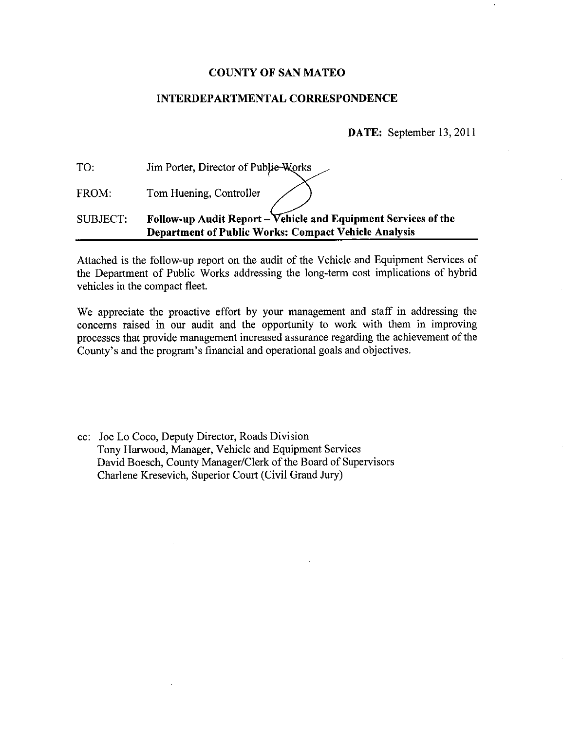### **COUNTY OF SAN MATEO**

### **INTERDEPARTMENTAL CORRESPONDENCE**

DATE: September 13, 2011

| TO:      | Jim Porter, Director of Publie-Works                                                                                          |
|----------|-------------------------------------------------------------------------------------------------------------------------------|
| FROM:    | Tom Huening, Controller                                                                                                       |
| SUBJECT: | Follow-up Audit Report - Vehicle and Equipment Services of the<br><b>Department of Public Works: Compact Vehicle Analysis</b> |

Attached is the follow-up report on the audit of the Vehicle and Equipment Services of the Department of Public Works addressing the long-term cost implications of hybrid vehicles in the compact fleet.

We appreciate the proactive effort by your management and staff in addressing the concerns raised in our audit and the opportunity to work with them in improving processes that provide management increased assurance regarding the achievement of the County's and the program's financial and operational goals and objectives.

cc: Joe Lo Coco, Deputy Director, Roads Division Tony Harwood, Manager, Vehicle and Equipment Services David Boesch, County Manager/Clerk of the Board of Supervisors Charlene Kresevich, Superior Court (Civil Grand Jury)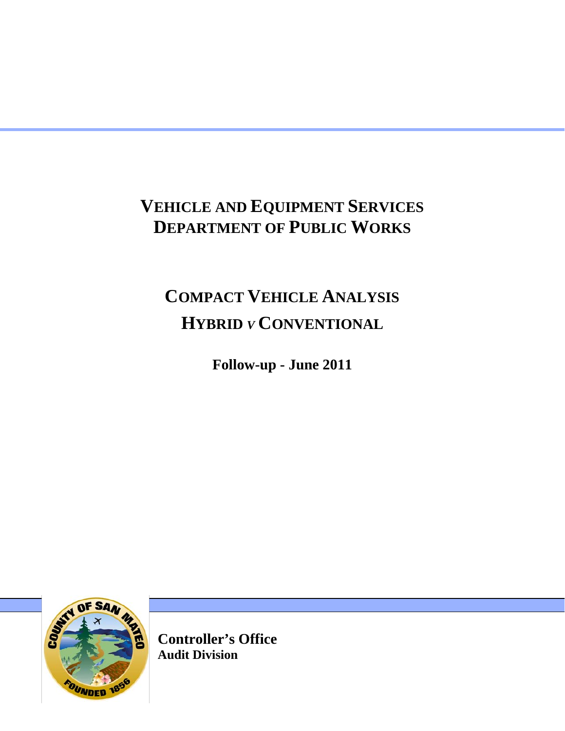# **VEHICLE AND EQUIPMENT SERVICES DEPARTMENT OF PUBLIC WORKS**

# **COMPACT VEHICLE ANALYSIS HYBRID** *<sup>V</sup>* **CONVENTIONAL**

**Follow-up - June 2011** 



**Controller's Office Audit Division**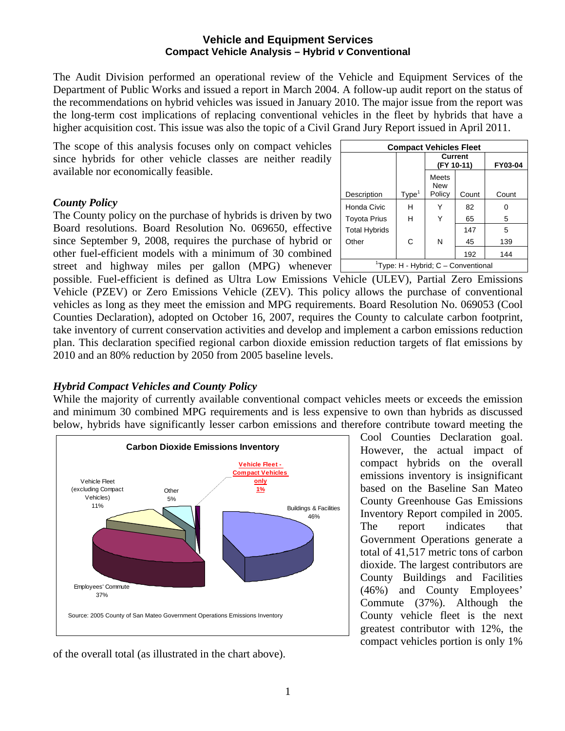The Audit Division performed an operational review of the Vehicle and Equipment Services of the Department of Public Works and issued a report in March 2004. A follow-up audit report on the status of the recommendations on hybrid vehicles was issued in January 2010. The major issue from the report was the long-term cost implications of replacing conventional vehicles in the fleet by hybrids that have a higher acquisition cost. This issue was also the topic of a Civil Grand Jury Report issued in April 2011.

The scope of this analysis focuses only on compact vehicles since hybrids for other vehicle classes are neither readily available nor economically feasible.

### *County Policy*

The County policy on the purchase of hybrids is driven by two Board resolutions. Board Resolution No. 069650, effective since September 9, 2008, requires the purchase of hybrid or other fuel-efficient models with a minimum of 30 combined street and highway miles per gallon (MPG) whenever

| <b>Compact Vehicles Fleet</b> |                   |                                                 |       |         |  |  |  |  |  |  |  |  |  |  |
|-------------------------------|-------------------|-------------------------------------------------|-------|---------|--|--|--|--|--|--|--|--|--|--|
|                               |                   | <b>Current</b><br>(FY 10-11)                    |       | FY03-04 |  |  |  |  |  |  |  |  |  |  |
| Description                   | Type <sup>1</sup> | Meets<br><b>New</b><br>Policy                   | Count | Count   |  |  |  |  |  |  |  |  |  |  |
| Honda Civic                   | н                 |                                                 | 82    | 0       |  |  |  |  |  |  |  |  |  |  |
| <b>Toyota Prius</b>           | н                 | Y                                               | 65    | 5       |  |  |  |  |  |  |  |  |  |  |
| <b>Total Hybrids</b>          |                   |                                                 | 147   | 5       |  |  |  |  |  |  |  |  |  |  |
| Other                         | C                 | N                                               | 45    | 139     |  |  |  |  |  |  |  |  |  |  |
|                               | 192<br>144        |                                                 |       |         |  |  |  |  |  |  |  |  |  |  |
|                               |                   | <sup>1</sup> Type: H - Hybrid; C – Conventional |       |         |  |  |  |  |  |  |  |  |  |  |

possible. Fuel-efficient is defined as Ultra Low Emissions Vehicle (ULEV), Partial Zero Emissions Vehicle (PZEV) or Zero Emissions Vehicle (ZEV). This policy allows the purchase of conventional vehicles as long as they meet the emission and MPG requirements. Board Resolution No. 069053 (Cool Counties Declaration), adopted on October 16, 2007, requires the County to calculate carbon footprint, take inventory of current conservation activities and develop and implement a carbon emissions reduction plan. This declaration specified regional carbon dioxide emission reduction targets of flat emissions by 2010 and an 80% reduction by 2050 from 2005 baseline levels.

## *Hybrid Compact Vehicles and County Policy*

While the majority of currently available conventional compact vehicles meets or exceeds the emission and minimum 30 combined MPG requirements and is less expensive to own than hybrids as discussed below, hybrids have significantly lesser carbon emissions and therefore contribute toward meeting the



of the overall total (as illustrated in the chart above).

Cool Counties Declaration goal. However, the actual impact of compact hybrids on the overall emissions inventory is insignificant based on the Baseline San Mateo County Greenhouse Gas Emissions Inventory Report compiled in 2005. The report indicates that Government Operations generate a total of 41,517 metric tons of carbon dioxide. The largest contributors are County Buildings and Facilities (46%) and County Employees' Commute (37%). Although the County vehicle fleet is the next greatest contributor with 12%, the compact vehicles portion is only 1%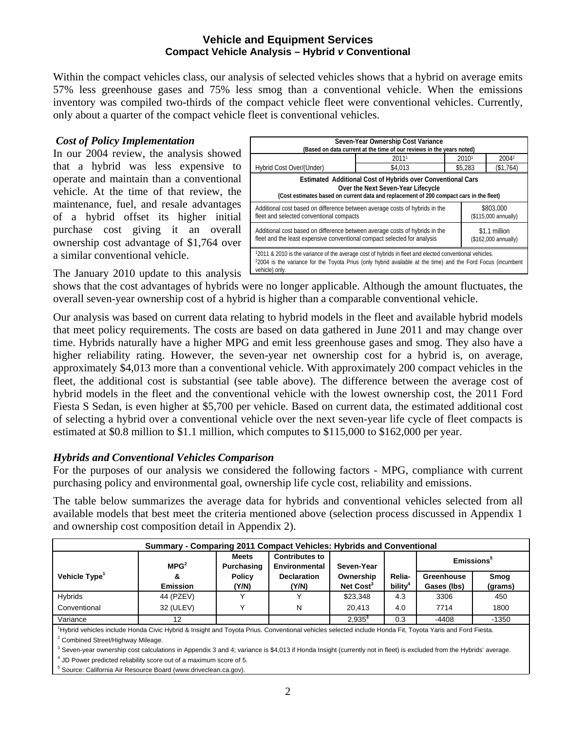Within the compact vehicles class, our analysis of selected vehicles shows that a hybrid on average emits 57% less greenhouse gases and 75% less smog than a conventional vehicle. When the emissions inventory was compiled two-thirds of the compact vehicle fleet were conventional vehicles. Currently, only about a quarter of the compact vehicle fleet is conventional vehicles.

### *Cost of Policy Implementation*

In our 2004 review, the analysis showed that a hybrid was less expensive to operate and maintain than a conventional vehicle. At the time of that review, the maintenance, fuel, and resale advantages of a hybrid offset its higher initial purchase cost giving it an overall ownership cost advantage of \$1,764 over a similar conventional vehicle.

| Seven-Year Ownership Cost Variance<br>(Based on data current at the time of our reviews in the years noted)                                                                                                                                           |       |  |       |                                       |  |  |  |  |  |  |  |  |
|-------------------------------------------------------------------------------------------------------------------------------------------------------------------------------------------------------------------------------------------------------|-------|--|-------|---------------------------------------|--|--|--|--|--|--|--|--|
|                                                                                                                                                                                                                                                       | 20111 |  | 20101 | 20042                                 |  |  |  |  |  |  |  |  |
| Hybrid Cost Over/(Under)<br>\$4,013<br>\$5,283<br>(\$1,764)                                                                                                                                                                                           |       |  |       |                                       |  |  |  |  |  |  |  |  |
| Estimated Additional Cost of Hybrids over Conventional Cars<br>Over the Next Seven-Year Lifecycle<br>(Cost estimates based on current data and replacement of 200 compact cars in the fleet)                                                          |       |  |       |                                       |  |  |  |  |  |  |  |  |
| Additional cost based on difference between average costs of hybrids in the<br>\$803,000<br>fleet and selected conventional compacts<br>(\$115,000 annually)                                                                                          |       |  |       |                                       |  |  |  |  |  |  |  |  |
| Additional cost based on difference between average costs of hybrids in the<br>fleet and the least expensive conventional compact selected for analysis                                                                                               |       |  |       | \$1.1 million<br>(\$162,000 annually) |  |  |  |  |  |  |  |  |
| 12011 & 2010 is the variance of the average cost of hybrids in fleet and elected conventional vehicles.<br><sup>2</sup> 2004 is the variance for the Toyota Prius (only hybrid available at the time) and the Ford Focus (incumbent<br>vehicle) only. |       |  |       |                                       |  |  |  |  |  |  |  |  |

The January 2010 update to this analysis

shows that the cost advantages of hybrids were no longer applicable. Although the amount fluctuates, the overall seven-year ownership cost of a hybrid is higher than a comparable conventional vehicle.

Our analysis was based on current data relating to hybrid models in the fleet and available hybrid models that meet policy requirements. The costs are based on data gathered in June 2011 and may change over time. Hybrids naturally have a higher MPG and emit less greenhouse gases and smog. They also have a higher reliability rating. However, the seven-year net ownership cost for a hybrid is, on average, approximately \$4,013 more than a conventional vehicle. With approximately 200 compact vehicles in the fleet, the additional cost is substantial (see table above). The difference between the average cost of hybrid models in the fleet and the conventional vehicle with the lowest ownership cost, the 2011 Ford Fiesta S Sedan, is even higher at \$5,700 per vehicle. Based on current data, the estimated additional cost of selecting a hybrid over a conventional vehicle over the next seven-year life cycle of fleet compacts is estimated at \$0.8 million to \$1.1 million, which computes to \$115,000 to \$162,000 per year.

## *Hybrids and Conventional Vehicles Comparison*

For the purposes of our analysis we considered the following factors - MPG, compliance with current purchasing policy and environmental goal, ownership life cycle cost, reliability and emissions.

The table below summarizes the average data for hybrids and conventional vehicles selected from all available models that best meet the criteria mentioned above (selection process discussed in Appendix 1 and ownership cost composition detail in Appendix 2).

| Summary - Comparing 2011 Compact Vehicles: Hybrids and Conventional                                                                                                                                           |                  |                     |                                        |                       |               |                        |         |  |  |  |  |  |  |
|---------------------------------------------------------------------------------------------------------------------------------------------------------------------------------------------------------------|------------------|---------------------|----------------------------------------|-----------------------|---------------|------------------------|---------|--|--|--|--|--|--|
|                                                                                                                                                                                                               | MPG <sup>2</sup> | Meets<br>Purchasing | <b>Contributes to</b><br>Environmental | Seven-Year            |               | Emissions <sup>3</sup> |         |  |  |  |  |  |  |
| Vehicle Type <sup>1</sup>                                                                                                                                                                                     |                  | <b>Policy</b>       | <b>Declaration</b>                     | Ownership             | Relia-        | Greenhouse             | Smog    |  |  |  |  |  |  |
|                                                                                                                                                                                                               | <b>Emission</b>  | Y/N)                | (Y/N)                                  | Net Cost <sup>3</sup> | <b>bility</b> | Gases (lbs)            | (grams) |  |  |  |  |  |  |
| <b>Hybrids</b>                                                                                                                                                                                                | 44 (PZEV)        |                     |                                        | \$23,348              | 4.3           | 3306                   | 450     |  |  |  |  |  |  |
| Conventional                                                                                                                                                                                                  | 32 (ULEV)        |                     | N                                      | 20.413                | 4.0           | 7714                   | 1800    |  |  |  |  |  |  |
| Variance                                                                                                                                                                                                      | 12               |                     |                                        | $2.935^{3}$           | 0.3           | -4408                  | $-1350$ |  |  |  |  |  |  |
| <sup>1</sup> Hybrid vehicles include Honda Civic Hybrid & Insight and Toyota Prius. Conventional vehicles selected include Honda Fit, Toyota Yaris and Ford Fiesta.<br>$2$ Cambinad Ctrastil lightney Milange |                  |                     |                                        |                       |               |                        |         |  |  |  |  |  |  |

Combined Street/Highway Mileage.

 $3$  Seven-year ownership cost calculations in Appendix 3 and 4; variance is \$4,013 if Honda Insight (currently not in fleet) is excluded from the Hybrids' average.

 $<sup>4</sup>$  JD Power predicted reliability score out of a maximum score of 5.</sup>

5 Source: California Air Resource Board (www.driveclean.ca.gov).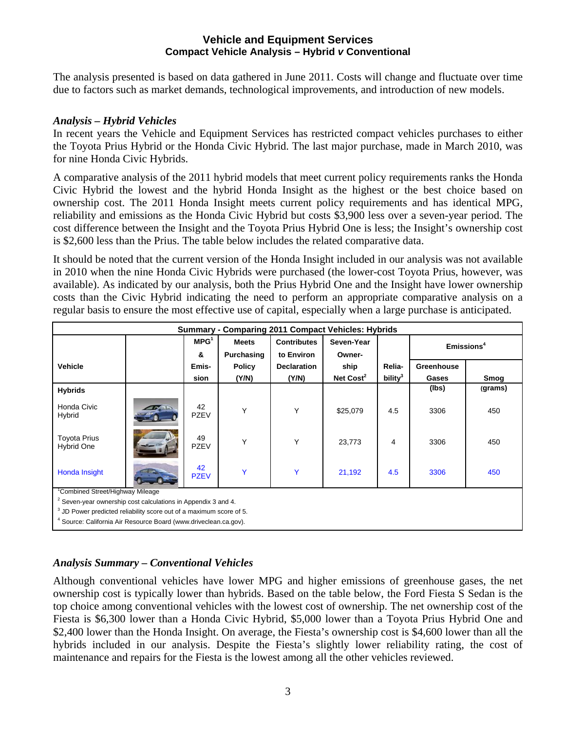The analysis presented is based on data gathered in June 2011. Costs will change and fluctuate over time due to factors such as market demands, technological improvements, and introduction of new models.

### *Analysis – Hybrid Vehicles*

In recent years the Vehicle and Equipment Services has restricted compact vehicles purchases to either the Toyota Prius Hybrid or the Honda Civic Hybrid. The last major purchase, made in March 2010, was for nine Honda Civic Hybrids.

A comparative analysis of the 2011 hybrid models that meet current policy requirements ranks the Honda Civic Hybrid the lowest and the hybrid Honda Insight as the highest or the best choice based on ownership cost. The 2011 Honda Insight meets current policy requirements and has identical MPG, reliability and emissions as the Honda Civic Hybrid but costs \$3,900 less over a seven-year period. The cost difference between the Insight and the Toyota Prius Hybrid One is less; the Insight's ownership cost is \$2,600 less than the Prius. The table below includes the related comparative data.

It should be noted that the current version of the Honda Insight included in our analysis was not available in 2010 when the nine Honda Civic Hybrids were purchased (the lower-cost Toyota Prius, however, was available). As indicated by our analysis, both the Prius Hybrid One and the Insight have lower ownership costs than the Civic Hybrid indicating the need to perform an appropriate comparative analysis on a regular basis to ensure the most effective use of capital, especially when a large purchase is anticipated.

| Summary - Comparing 2011 Compact Vehicles: Hybrids                             |  |                   |               |                    |             |                     |            |                        |  |  |  |  |  |
|--------------------------------------------------------------------------------|--|-------------------|---------------|--------------------|-------------|---------------------|------------|------------------------|--|--|--|--|--|
|                                                                                |  | MPG <sup>1</sup>  | <b>Meets</b>  | <b>Contributes</b> | Seven-Year  |                     |            | Emissions <sup>4</sup> |  |  |  |  |  |
|                                                                                |  | &                 | Purchasing    | to Environ         | Owner-      |                     |            |                        |  |  |  |  |  |
| <b>Vehicle</b>                                                                 |  | Emis-             | <b>Policy</b> | <b>Declaration</b> | ship        | Relia-              | Greenhouse |                        |  |  |  |  |  |
|                                                                                |  | sion              | (Y/N)         | (Y/N)              | Net $Cost2$ | bility <sup>3</sup> | Gases      | Smog                   |  |  |  |  |  |
| <b>Hybrids</b>                                                                 |  |                   |               |                    |             |                     | (lbs)      | (grams)                |  |  |  |  |  |
| Honda Civic<br>Hybrid                                                          |  | 42<br><b>PZEV</b> | Y             | Y                  | \$25,079    | 4.5                 | 3306       | 450                    |  |  |  |  |  |
| <b>Toyota Prius</b><br>Hybrid One                                              |  | 49<br><b>PZEV</b> | Y             | Y                  | 23,773      | 4                   | 3306       | 450                    |  |  |  |  |  |
| Honda Insight                                                                  |  | 42<br><b>PZEV</b> | Ÿ             | Y                  | 21,192      | 4.5                 | 3306       | 450                    |  |  |  |  |  |
| Combined Street/Highway Mileage                                                |  |                   |               |                    |             |                     |            |                        |  |  |  |  |  |
| <sup>2</sup> Seven-year ownership cost calculations in Appendix 3 and 4.       |  |                   |               |                    |             |                     |            |                        |  |  |  |  |  |
| <sup>3</sup> JD Power predicted reliability score out of a maximum score of 5. |  |                   |               |                    |             |                     |            |                        |  |  |  |  |  |
| <sup>4</sup> Source: California Air Resource Board (www.driveclean.ca.gov).    |  |                   |               |                    |             |                     |            |                        |  |  |  |  |  |

## *Analysis Summary – Conventional Vehicles*

Although conventional vehicles have lower MPG and higher emissions of greenhouse gases, the net ownership cost is typically lower than hybrids. Based on the table below, the Ford Fiesta S Sedan is the top choice among conventional vehicles with the lowest cost of ownership. The net ownership cost of the Fiesta is \$6,300 lower than a Honda Civic Hybrid, \$5,000 lower than a Toyota Prius Hybrid One and \$2,400 lower than the Honda Insight. On average, the Fiesta's ownership cost is \$4,600 lower than all the hybrids included in our analysis. Despite the Fiesta's slightly lower reliability rating, the cost of maintenance and repairs for the Fiesta is the lowest among all the other vehicles reviewed.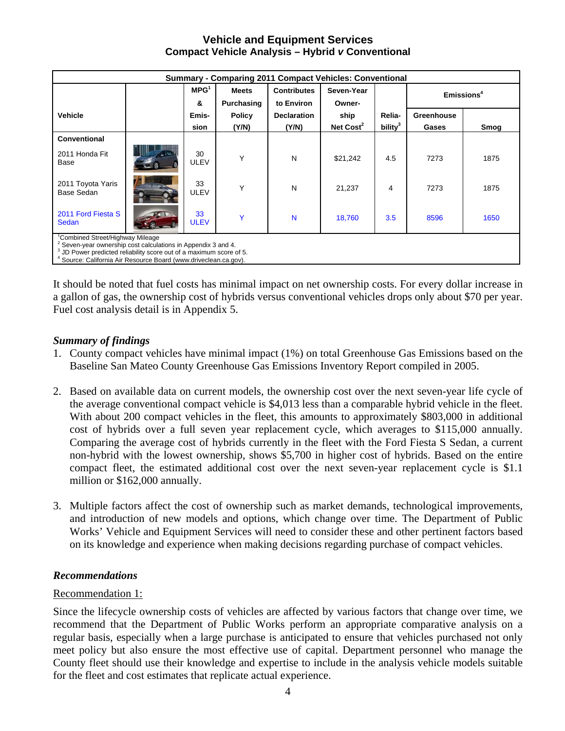| <b>Summary - Comparing 2011 Compact Vehicles: Conventional</b>                                                                                                                                                                                         |  |                   |               |                    |                       |                     |            |                        |  |  |  |  |  |
|--------------------------------------------------------------------------------------------------------------------------------------------------------------------------------------------------------------------------------------------------------|--|-------------------|---------------|--------------------|-----------------------|---------------------|------------|------------------------|--|--|--|--|--|
|                                                                                                                                                                                                                                                        |  | MPG <sup>1</sup>  | <b>Meets</b>  | <b>Contributes</b> | Seven-Year            |                     |            | Emissions <sup>4</sup> |  |  |  |  |  |
|                                                                                                                                                                                                                                                        |  | &                 | Purchasing    | to Environ         | Owner-                |                     |            |                        |  |  |  |  |  |
| <b>Vehicle</b>                                                                                                                                                                                                                                         |  | Emis-             | <b>Policy</b> | <b>Declaration</b> | ship                  | Relia-              | Greenhouse |                        |  |  |  |  |  |
|                                                                                                                                                                                                                                                        |  | sion              | (Y/N)         | (Y/N)              | Net Cost <sup>2</sup> | bility <sup>3</sup> | Gases      | Smog                   |  |  |  |  |  |
| Conventional                                                                                                                                                                                                                                           |  |                   |               |                    |                       |                     |            |                        |  |  |  |  |  |
| 2011 Honda Fit<br>Base                                                                                                                                                                                                                                 |  | 30<br>ULEV        | Υ             | N                  | \$21,242              | 4.5                 | 7273       | 1875                   |  |  |  |  |  |
| 2011 Toyota Yaris<br>Base Sedan                                                                                                                                                                                                                        |  | 33<br><b>ULEV</b> | Υ             | N                  | 21,237                | 4                   | 7273       | 1875                   |  |  |  |  |  |
| 2011 Ford Fiesta S<br>33<br>Ÿ<br>N<br>3.5<br>8596<br>1650<br>18,760<br><b>ULEV</b><br>Sedan                                                                                                                                                            |  |                   |               |                    |                       |                     |            |                        |  |  |  |  |  |
| Combined Street/Highway Mileage<br>$2$ Seven-year ownership cost calculations in Appendix 3 and 4.<br><sup>3</sup> JD Power predicted reliability score out of a maximum score of 5.<br>Source: California Air Resource Board (www.driveclean.ca.gov). |  |                   |               |                    |                       |                     |            |                        |  |  |  |  |  |

It should be noted that fuel costs has minimal impact on net ownership costs. For every dollar increase in a gallon of gas, the ownership cost of hybrids versus conventional vehicles drops only about \$70 per year. Fuel cost analysis detail is in Appendix 5.

## *Summary of findings*

- 1. County compact vehicles have minimal impact (1%) on total Greenhouse Gas Emissions based on the Baseline San Mateo County Greenhouse Gas Emissions Inventory Report compiled in 2005.
- 2. Based on available data on current models, the ownership cost over the next seven-year life cycle of the average conventional compact vehicle is \$4,013 less than a comparable hybrid vehicle in the fleet. With about 200 compact vehicles in the fleet, this amounts to approximately \$803,000 in additional cost of hybrids over a full seven year replacement cycle, which averages to \$115,000 annually. Comparing the average cost of hybrids currently in the fleet with the Ford Fiesta S Sedan, a current non-hybrid with the lowest ownership, shows \$5,700 in higher cost of hybrids. Based on the entire compact fleet, the estimated additional cost over the next seven-year replacement cycle is \$1.1 million or \$162,000 annually.
- 3. Multiple factors affect the cost of ownership such as market demands, technological improvements, and introduction of new models and options, which change over time. The Department of Public Works' Vehicle and Equipment Services will need to consider these and other pertinent factors based on its knowledge and experience when making decisions regarding purchase of compact vehicles.

## *Recommendations*

## Recommendation 1:

Since the lifecycle ownership costs of vehicles are affected by various factors that change over time, we recommend that the Department of Public Works perform an appropriate comparative analysis on a regular basis, especially when a large purchase is anticipated to ensure that vehicles purchased not only meet policy but also ensure the most effective use of capital. Department personnel who manage the County fleet should use their knowledge and expertise to include in the analysis vehicle models suitable for the fleet and cost estimates that replicate actual experience.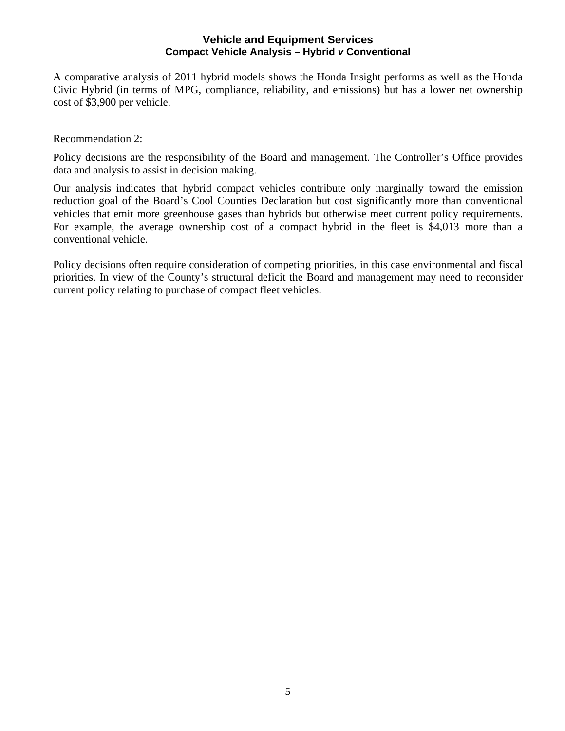A comparative analysis of 2011 hybrid models shows the Honda Insight performs as well as the Honda Civic Hybrid (in terms of MPG, compliance, reliability, and emissions) but has a lower net ownership cost of \$3,900 per vehicle.

### Recommendation 2:

Policy decisions are the responsibility of the Board and management. The Controller's Office provides data and analysis to assist in decision making.

Our analysis indicates that hybrid compact vehicles contribute only marginally toward the emission reduction goal of the Board's Cool Counties Declaration but cost significantly more than conventional vehicles that emit more greenhouse gases than hybrids but otherwise meet current policy requirements. For example, the average ownership cost of a compact hybrid in the fleet is \$4,013 more than a conventional vehicle.

Policy decisions often require consideration of competing priorities, in this case environmental and fiscal priorities. In view of the County's structural deficit the Board and management may need to reconsider current policy relating to purchase of compact fleet vehicles.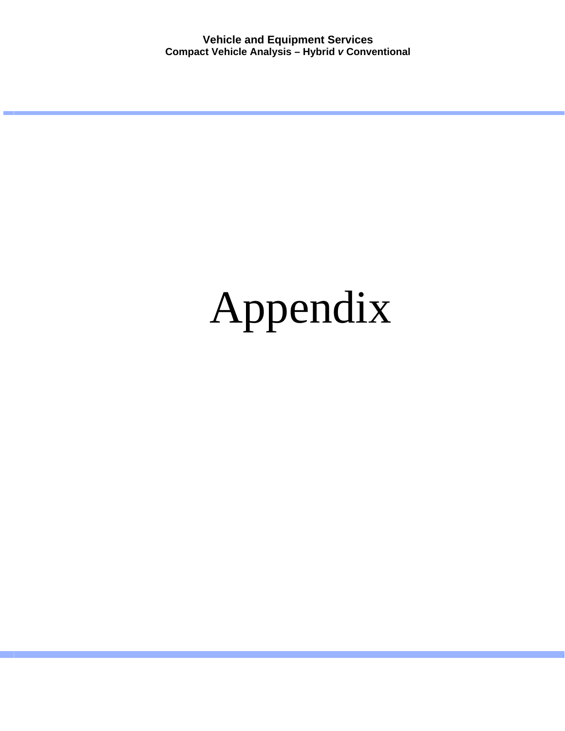# Appendix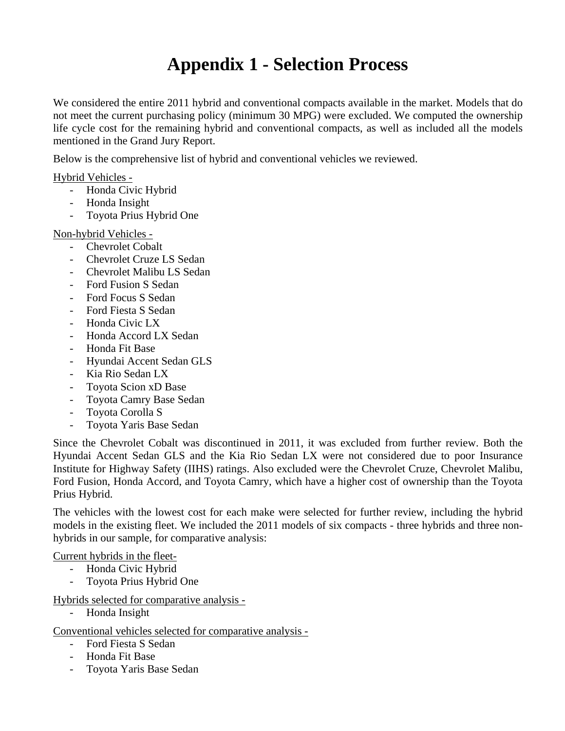## **Appendix 1 - Selection Process**

We considered the entire 2011 hybrid and conventional compacts available in the market. Models that do not meet the current purchasing policy (minimum 30 MPG) were excluded. We computed the ownership life cycle cost for the remaining hybrid and conventional compacts, as well as included all the models mentioned in the Grand Jury Report.

Below is the comprehensive list of hybrid and conventional vehicles we reviewed.

Hybrid Vehicles -

- Honda Civic Hybrid
- Honda Insight
- Toyota Prius Hybrid One

Non-hybrid Vehicles -

- Chevrolet Cobalt
- Chevrolet Cruze LS Sedan
- Chevrolet Malibu LS Sedan
- Ford Fusion S Sedan
- Ford Focus S Sedan
- Ford Fiesta S Sedan
- Honda Civic LX
- Honda Accord LX Sedan
- Honda Fit Base
- Hyundai Accent Sedan GLS
- Kia Rio Sedan LX
- Toyota Scion xD Base
- Toyota Camry Base Sedan
- Toyota Corolla S
- Toyota Yaris Base Sedan

Since the Chevrolet Cobalt was discontinued in 2011, it was excluded from further review. Both the Hyundai Accent Sedan GLS and the Kia Rio Sedan LX were not considered due to poor Insurance Institute for Highway Safety (IIHS) ratings. Also excluded were the Chevrolet Cruze, Chevrolet Malibu, Ford Fusion, Honda Accord, and Toyota Camry, which have a higher cost of ownership than the Toyota Prius Hybrid.

The vehicles with the lowest cost for each make were selected for further review, including the hybrid models in the existing fleet. We included the 2011 models of six compacts - three hybrids and three nonhybrids in our sample, for comparative analysis:

### Current hybrids in the fleet-

- Honda Civic Hybrid
- Toyota Prius Hybrid One

Hybrids selected for comparative analysis -

- Honda Insight

Conventional vehicles selected for comparative analysis -

- Ford Fiesta S Sedan
- Honda Fit Base
- Toyota Yaris Base Sedan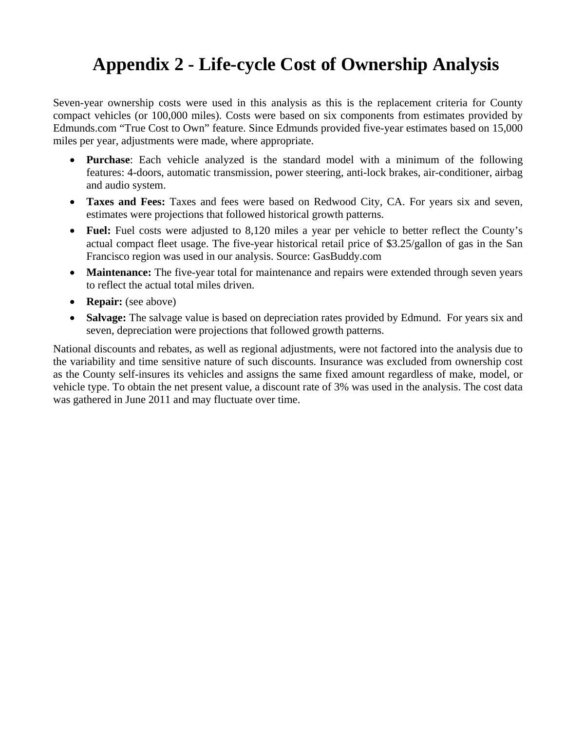## **Appendix 2 - Life-cycle Cost of Ownership Analysis**

Seven-year ownership costs were used in this analysis as this is the replacement criteria for County compact vehicles (or 100,000 miles). Costs were based on six components from estimates provided by Edmunds.com "True Cost to Own" feature. Since Edmunds provided five-year estimates based on 15,000 miles per year, adjustments were made, where appropriate.

- **Purchase**: Each vehicle analyzed is the standard model with a minimum of the following features: 4-doors, automatic transmission, power steering, anti-lock brakes, air-conditioner, airbag and audio system.
- **Taxes and Fees:** Taxes and fees were based on Redwood City, CA. For years six and seven, estimates were projections that followed historical growth patterns.
- **Fuel:** Fuel costs were adjusted to 8,120 miles a year per vehicle to better reflect the County's actual compact fleet usage. The five-year historical retail price of \$3.25/gallon of gas in the San Francisco region was used in our analysis. Source: GasBuddy.com
- **Maintenance:** The five-year total for maintenance and repairs were extended through seven years to reflect the actual total miles driven.
- **Repair:** (see above)
- **Salvage:** The salvage value is based on depreciation rates provided by Edmund. For years six and seven, depreciation were projections that followed growth patterns.

National discounts and rebates, as well as regional adjustments, were not factored into the analysis due to the variability and time sensitive nature of such discounts. Insurance was excluded from ownership cost as the County self-insures its vehicles and assigns the same fixed amount regardless of make, model, or vehicle type. To obtain the net present value, a discount rate of 3% was used in the analysis. The cost data was gathered in June 2011 and may fluctuate over time.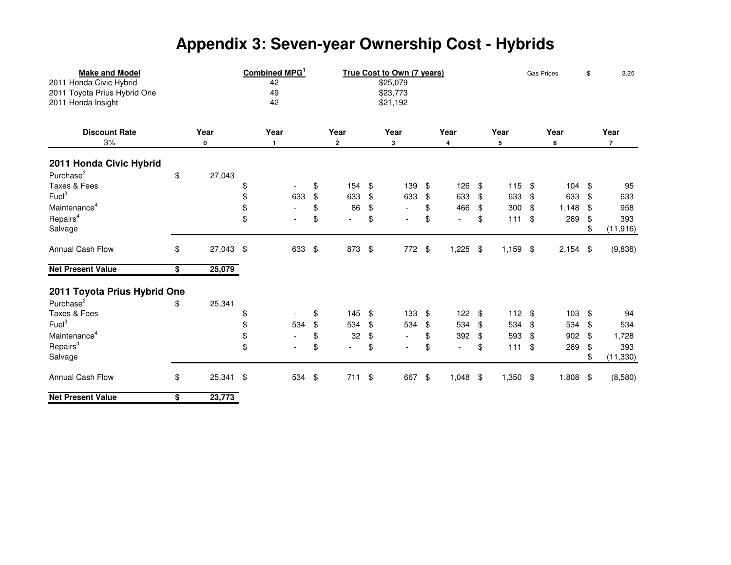# **Appendix 3: Seven-year Ownership Cost - Hybrids**

| <b>Make and Model</b><br>2011 Honda Civic Hybrid<br>2011 Toyota Prius Hybrid One<br>2011 Honda Insight | Combined MPG<br>42<br>49<br>42 | True Cost to Own (7 years)<br>\$25,079<br>\$23,773<br>\$21,192 |                                |    |                |    |                          |    | <b>Gas Prices</b> |    |       | 3.25 |                |
|--------------------------------------------------------------------------------------------------------|--------------------------------|----------------------------------------------------------------|--------------------------------|----|----------------|----|--------------------------|----|-------------------|----|-------|------|----------------|
| <b>Discount Rate</b>                                                                                   | Year                           | Year                                                           | Year                           |    | Year           |    | Year                     |    | Year              |    | Year  |      | Year           |
| 3%                                                                                                     | 0                              | 1                                                              | 2                              |    | 3              |    | 4                        |    | 5                 |    | 6     |      | $\overline{7}$ |
| 2011 Honda Civic Hybrid                                                                                |                                |                                                                |                                |    |                |    |                          |    |                   |    |       |      |                |
| Purchase <sup>2</sup>                                                                                  | \$<br>27,043                   |                                                                |                                |    |                |    |                          |    |                   |    |       |      |                |
| Taxes & Fees                                                                                           |                                | \$                                                             | \$<br>154                      | \$ | 139            | \$ | 126                      | \$ | 115               | \$ | 104   | \$   | 95             |
| Fuel <sup>3</sup>                                                                                      |                                | \$<br>633                                                      | \$<br>633                      | \$ | 633            | \$ | 633                      | \$ | 633               | \$ | 633   | \$   | 633            |
| Maintenance <sup>4</sup>                                                                               |                                | \$                                                             | \$<br>86                       | \$ |                | \$ | 466                      | \$ | 300               | \$ | 1,148 | \$   | 958            |
| Repairs <sup>4</sup>                                                                                   |                                | \$<br>$\overline{a}$                                           | \$                             | \$ |                | \$ | $\overline{\phantom{a}}$ | \$ | 111               | \$ | 269   | \$   | 393            |
| Salvage                                                                                                |                                |                                                                |                                |    |                |    |                          |    |                   |    |       | \$   | (11, 916)      |
| Annual Cash Flow                                                                                       | \$<br>27,043                   | \$<br>633                                                      | \$<br>873                      | \$ | 772            | \$ | 1,225                    | \$ | 1,159             | \$ | 2,154 | \$   | (9,838)        |
| <b>Net Present Value</b>                                                                               | \$<br>25,079                   |                                                                |                                |    |                |    |                          |    |                   |    |       |      |                |
| 2011 Toyota Prius Hybrid One                                                                           |                                |                                                                |                                |    |                |    |                          |    |                   |    |       |      |                |
| Purchase <sup>2</sup>                                                                                  | \$<br>25,341                   |                                                                |                                |    |                |    |                          |    |                   |    |       |      |                |
| Taxes & Fees                                                                                           |                                | \$<br>$\overline{\phantom{a}}$                                 | \$<br>145                      | \$ | 133            | \$ | 122                      | \$ | 112               | \$ | 103   | \$   | 94             |
| Fuel <sup>3</sup>                                                                                      |                                | \$<br>534                                                      | \$<br>534                      | \$ | 534            | \$ | 534                      | \$ | 534               | \$ | 534   | \$   | 534            |
| Maintenance <sup>4</sup>                                                                               |                                | \$<br>$\overline{\phantom{a}}$                                 | \$<br>32                       | \$ |                | \$ | 392                      | \$ | 593               | \$ | 902   | \$   | 1,728          |
| Repairs <sup>4</sup>                                                                                   |                                | \$                                                             | \$<br>$\overline{\phantom{0}}$ | \$ | $\overline{a}$ | \$ | $\blacksquare$           | \$ | 111               | \$ | 269   | \$   | 393            |
| Salvage                                                                                                |                                |                                                                |                                |    |                |    |                          |    |                   |    |       | \$   | (11, 330)      |
| Annual Cash Flow                                                                                       | \$<br>25,341                   | \$<br>534 \$                                                   | 711                            | \$ | 667            | \$ | 1,048                    | \$ | 1,350             | \$ | 1,808 | \$   | (8,580)        |
| <b>Net Present Value</b>                                                                               | \$<br>23,773                   |                                                                |                                |    |                |    |                          |    |                   |    |       |      |                |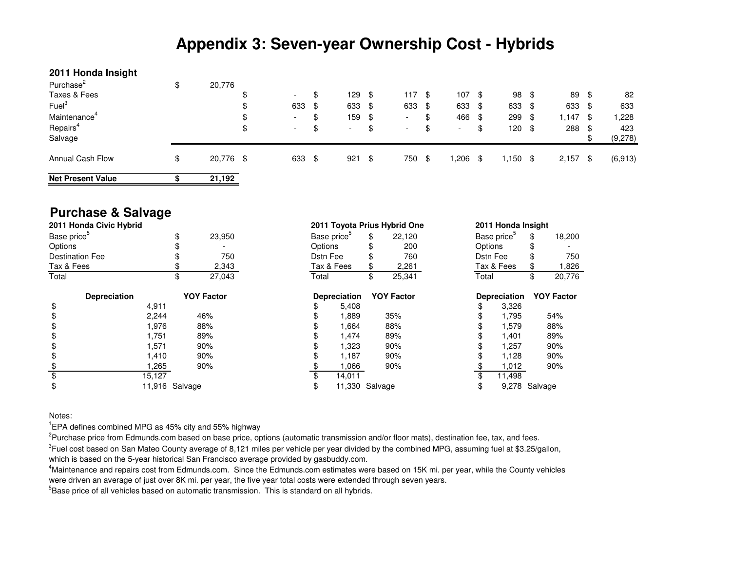## **Appendix 3: Seven-year Ownership Cost - Hybrids**

### **2011 Honda Insight**

| Purchase <sup>2</sup>    | \$<br>20,776    |                                |                                |      |                          |      |                          |      |       |      |       |      |          |
|--------------------------|-----------------|--------------------------------|--------------------------------|------|--------------------------|------|--------------------------|------|-------|------|-------|------|----------|
| Taxes & Fees             |                 | \$<br>$\overline{\phantom{a}}$ | \$<br>129                      | - \$ | 117                      | - \$ | 107                      | - \$ | 98    | - \$ | 89    | - \$ | 82       |
| Fuel <sup>3</sup>        |                 | \$<br>633 \$                   | 633 \$                         |      | 633                      | -\$  | 633 \$                   |      | 633   | -\$  | 633   | - \$ | 633      |
| Maintenance <sup>4</sup> |                 | \$<br>$\overline{\phantom{a}}$ | \$<br>159 \$                   |      | $\overline{\phantom{0}}$ | \$   | 466                      | - \$ | 299   | \$   | 1,147 | - \$ | 1,228    |
| Repairs <sup>4</sup>     |                 | \$<br>$\overline{\phantom{a}}$ | \$<br>$\overline{\phantom{a}}$ | \$   | $\overline{\phantom{0}}$ | \$   | $\overline{\phantom{a}}$ | \$   | 120   | \$   | 288   | - \$ | 423      |
| Salvage                  |                 |                                |                                |      |                          |      |                          |      |       |      |       |      | (9,278)  |
| <b>Annual Cash Flow</b>  | \$<br>20,776 \$ | 633 \$                         | 921                            | - \$ | 750                      | \$   | .206                     | \$   | 1,150 | -\$  | 2,157 | - \$ | (6, 913) |
| <b>Net Present Value</b> | 21,192          |                                |                                |      |                          |      |                          |      |       |      |       |      |          |

## **Purchase & Salvage**

| 2011 Honda Civic Hybrid |                |                   |          |                         | 2011 Toyota Prius Hybrid One |          | 2011 Honda Insight      |                   |
|-------------------------|----------------|-------------------|----------|-------------------------|------------------------------|----------|-------------------------|-------------------|
| Base price <sup>5</sup> |                | \$<br>23,950      |          | Base price <sup>5</sup> | \$<br>22.120                 |          | Base price <sup>5</sup> | \$<br>18,200      |
| Options                 |                |                   | Options  |                         | 200                          | Options  |                         |                   |
| <b>Destination Fee</b>  |                | 750               | Dstn Fee |                         | 760                          | Dstn Fee |                         | 750               |
| Tax & Fees              |                | 2,343             |          | Tax & Fees              | 2,261                        |          | Tax & Fees              | 826,              |
| Total                   |                | \$<br>27.043      | Total    |                         | \$<br>25,341                 | Total    |                         | \$<br>20,776      |
| <b>Depreciation</b>     |                | <b>YOY Factor</b> |          | <b>Depreciation</b>     | <b>YOY Factor</b>            |          | <b>Depreciation</b>     | <b>YOY Factor</b> |
| \$                      | 4,911          |                   |          | 5,408                   |                              | \$       | 3,326                   |                   |
| \$                      | 2,244          | 46%               |          | 1,889                   | 35%                          |          | 1,795                   | 54%               |
| \$                      | 1,976          | 88%               |          | 1,664                   | 88%                          |          | 1,579                   | 88%               |
| \$                      | 1,751          | 89%               |          | 1,474                   | 89%                          |          | 1,401                   | 89%               |
| \$                      | 1,571          | 90%               |          | 1,323                   | 90%                          |          | 1,257                   | 90%               |
| \$                      | 1,410          | 90%               |          | 1,187                   | 90%                          |          | 1,128                   | 90%               |
| \$                      | 1,265          | 90%               |          | 1,066                   | 90%                          |          | 1.012                   | 90%               |
| \$                      | 15,127         |                   |          | 14,011                  |                              |          | 11,498                  |                   |
| \$                      | 11,916 Salvage |                   | \$       | 11,330 Salvage          |                              | \$       | 9,278 Salvage           |                   |

### Notes:

 $^1$ EPA defines combined MPG as 45% city and 55% highway

 $^2$ Purchase price from Edmunds.com based on base price, options (automatic transmission and/or floor mats), destination fee, tax, and fees.

 ${}^{3}$ Fuel cost based on San Mateo County average of 8,121 miles per vehicle per year divided by the combined MPG, assuming fuel at \$3.25/gallon, which is based on the 5-year historical San Francisco average provided by gasbuddy.com.

<sup>4</sup>Maintenance and repairs cost from Edmunds.com. Since the Edmunds.com estimates were based on 15K mi. per year, while the County vehicles were driven an average of just over 8K mi. per year, the five year total costs were extended through seven years.

 $^5$ Base price of all vehicles based on automatic transmission. This is standard on all hybrids.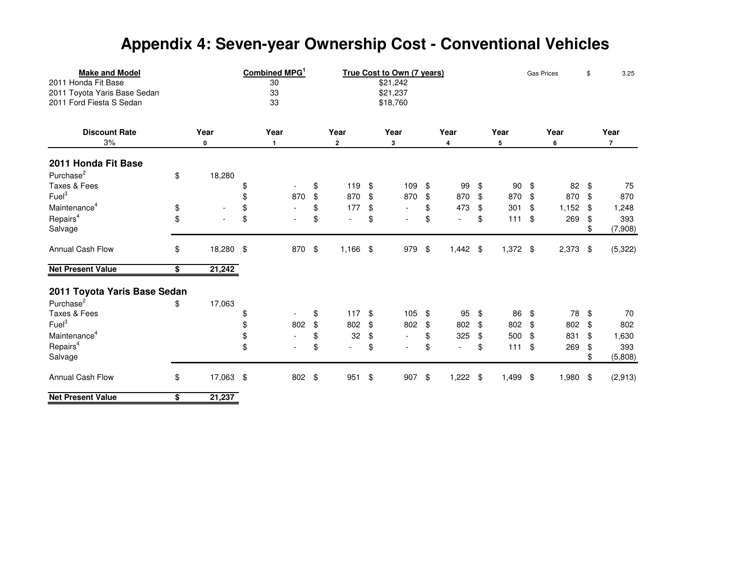# **Appendix 4: Seven-year Ownership Cost - Conventional Vehicles**

| <b>Make and Model</b><br>2011 Honda Fit Base<br>2011 Toyota Yaris Base Sedan<br>2011 Ford Fiesta S Sedan |                 | Combined MPG <sup>1</sup><br>30<br>33<br>33 | True Cost to Own (7 years)<br>\$21,242<br>\$21,237<br>\$18,760 |                                |            |      |    |                          |    |            | <b>Gas Prices</b> | \$    | 3.25 |                |
|----------------------------------------------------------------------------------------------------------|-----------------|---------------------------------------------|----------------------------------------------------------------|--------------------------------|------------|------|----|--------------------------|----|------------|-------------------|-------|------|----------------|
| <b>Discount Rate</b>                                                                                     | Year            |                                             | Year                                                           | Year                           |            | Year |    | Year                     |    | Year       |                   | Year  |      | Year           |
| 3%                                                                                                       | 0               |                                             | $\mathbf{1}$                                                   | $\overline{2}$                 |            | 3    |    | 4                        |    | 5          |                   | 6     |      | $\overline{7}$ |
| 2011 Honda Fit Base                                                                                      |                 |                                             |                                                                |                                |            |      |    |                          |    |            |                   |       |      |                |
| Purchase <sup>2</sup>                                                                                    | \$<br>18,280    |                                             |                                                                |                                |            |      |    |                          |    |            |                   |       |      |                |
| Taxes & Fees                                                                                             |                 | \$                                          |                                                                | \$<br>119                      | \$         | 109  | \$ | 99                       | \$ | 90         | \$                | 82    | \$   | 75             |
| Fuel <sup>3</sup>                                                                                        |                 | \$                                          | 870                                                            | \$<br>870                      | \$         | 870  | \$ | 870                      | \$ | 870        | \$                | 870   | \$   | 870            |
| Maintenance <sup>4</sup>                                                                                 | \$              | \$                                          | $\mathbf{r}$                                                   | \$<br>177                      | \$         |      | \$ | 473                      | \$ | 301        | \$                | 1,152 | -\$  | 1,248          |
| Repairs <sup>4</sup>                                                                                     | \$              | \$                                          |                                                                | \$                             | \$         |      | \$ | $\overline{\phantom{0}}$ | \$ | $111$      | \$                | 269   | \$   | 393            |
| Salvage                                                                                                  |                 |                                             |                                                                |                                |            |      |    |                          |    |            |                   |       | \$   | (7,908)        |
| Annual Cash Flow                                                                                         | \$<br>18,280    | $\sqrt[6]{2}$                               | 870                                                            | \$<br>1,166                    | $\sqrt{3}$ | 979  | \$ | $1,442$ \$               |    | $1,372$ \$ |                   | 2,373 | -\$  | (5, 322)       |
| <b>Net Present Value</b>                                                                                 | \$<br>21,242    |                                             |                                                                |                                |            |      |    |                          |    |            |                   |       |      |                |
| 2011 Toyota Yaris Base Sedan                                                                             |                 |                                             |                                                                |                                |            |      |    |                          |    |            |                   |       |      |                |
| Purchase <sup>2</sup>                                                                                    | \$<br>17,063    |                                             |                                                                |                                |            |      |    |                          |    |            |                   |       |      |                |
| Taxes & Fees                                                                                             |                 | \$                                          | $\overline{\phantom{a}}$                                       | \$<br>117                      | \$         | 105  | \$ | 95                       | \$ | 86         | \$                | 78    | \$   | 70             |
| Fuel <sup>3</sup>                                                                                        |                 | \$                                          | 802                                                            | \$<br>802                      | \$         | 802  | \$ | 802                      | \$ | 802        | \$                | 802   | \$   | 802            |
| Maintenance <sup>4</sup>                                                                                 |                 | \$                                          | $\blacksquare$                                                 | \$<br>32                       | \$         |      | \$ | 325                      | \$ | 500        | \$                | 831   | \$   | 1,630          |
| Repairs <sup>4</sup>                                                                                     |                 | \$                                          | $\overline{a}$                                                 | \$<br>$\overline{\phantom{a}}$ | \$         |      | \$ | $\overline{\phantom{a}}$ | \$ | 111        | \$                | 269   | \$   | 393            |
| Salvage                                                                                                  |                 |                                             |                                                                |                                |            |      |    |                          |    |            |                   |       |      | (5,808)        |
| Annual Cash Flow                                                                                         | \$<br>17,063 \$ |                                             | 802 \$                                                         | 951                            | \$         | 907  | \$ | $1,222$ \$               |    | 1,499      | \$                | 1,980 | -\$  | (2,913)        |
| <b>Net Present Value</b>                                                                                 | \$<br>21,237    |                                             |                                                                |                                |            |      |    |                          |    |            |                   |       |      |                |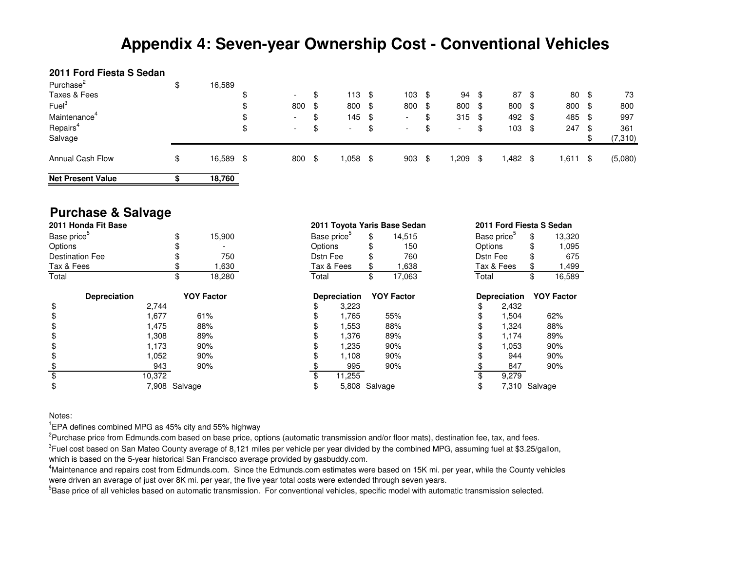## **Appendix 4: Seven-year Ownership Cost - Conventional Vehicles**

### **2011 Ford Fiesta S Sedan**

| Purchase <sup>2</sup>    | \$<br>16,589 |        |                          |                          |      |                          |      |                          |      |        |      |        |      |         |
|--------------------------|--------------|--------|--------------------------|--------------------------|------|--------------------------|------|--------------------------|------|--------|------|--------|------|---------|
| Taxes & Fees             |              | ¢<br>ง | $\overline{\phantom{a}}$ | \$<br>113                | - \$ | 103                      | - \$ | 94                       | - \$ | 87     | - \$ | 80     | - \$ | 73      |
| Fuel <sup>3</sup>        |              | σ<br>Φ | 800 \$                   | 800 \$                   |      | 800                      | -\$  | 800 \$                   |      | 800    | -\$  | 800 \$ |      | 800     |
| Maintenance <sup>4</sup> |              | ง      | $\overline{\phantom{a}}$ | \$<br>$145$ \$           |      | $\overline{\phantom{0}}$ | Œ    | $315$ \$                 |      | 492 \$ |      | 485    | - \$ | 997     |
| Repairs <sup>4</sup>     |              | \$     | $\overline{\phantom{0}}$ | $\overline{\phantom{0}}$ | \$   | $\overline{\phantom{0}}$ | \$   | $\overline{\phantom{a}}$ | \$   | 103    | -\$  | 247    | - \$ | 361     |
| Salvage                  |              |        |                          |                          |      |                          |      |                          |      |        |      |        |      | (7,310) |
| <b>Annual Cash Flow</b>  | \$<br>16,589 | S.     | 800 \$                   | 058. ا                   |      | 903                      | \$.  | ,209                     | \$   | .482،  | -\$  | 611. ا | - \$ | (5,080) |
| <b>Net Present Value</b> | 18,760       |        |                          |                          |      |                          |      |                          |      |        |      |        |      |         |

## **Purchase & Salvage**

| 2011 Honda Fit Base     |        |               |                   |          |                         |               | 2011 Toyota Yaris Base Sedan |          | 2011 Ford Fiesta S Sedan |                   |
|-------------------------|--------|---------------|-------------------|----------|-------------------------|---------------|------------------------------|----------|--------------------------|-------------------|
| Base price <sup>5</sup> |        | Φ             | 15,900            |          | Base price <sup>5</sup> | \$            | 14,515                       |          | Base price <sup>5</sup>  | \$<br>13,320      |
| Options                 |        |               |                   | Options  |                         |               | 150                          | Options  |                          | 1,095             |
| <b>Destination Fee</b>  |        |               | 750               | Dstn Fee |                         |               | 760                          | Dstn Fee |                          | 675               |
| Tax & Fees              |        |               | 1,630             |          | Tax & Fees              |               | 1,638                        |          | Tax & Fees               | 1,499             |
| Total                   |        | Φ             | 18,280            | Total    |                         | \$            | 17,063                       | Total    |                          | \$<br>16,589      |
| <b>Depreciation</b>     |        |               | <b>YOY Factor</b> |          | <b>Depreciation</b>     |               | <b>YOY Factor</b>            |          | <b>Depreciation</b>      | <b>YOY Factor</b> |
| \$                      | 2,744  |               |                   |          | 3,223                   |               |                              |          | 2,432                    |                   |
| \$                      | 1,677  |               | 61%               |          | 1,765                   |               | 55%                          |          | 1,504                    | 62%               |
| \$                      | 1,475  |               | 88%               |          | 1,553                   |               | 88%                          |          | 1,324                    | 88%               |
| S                       | 1,308  |               | 89%               |          | 1,376                   |               | 89%                          |          | 1,174                    | 89%               |
|                         | 1,173  |               | 90%               |          | 1,235                   |               | 90%                          |          | 1,053                    | 90%               |
|                         | 1,052  |               | 90%               |          | 1,108                   |               | 90%                          |          | 944                      | 90%               |
|                         | 943    |               | 90%               |          | 995                     |               | 90%                          |          | 847                      | 90%               |
|                         | 10,372 |               |                   |          | 11,255                  |               |                              |          | 9,279                    |                   |
| \$                      |        | 7,908 Salvage |                   |          |                         | 5,808 Salvage |                              |          | 7,310 Salvage            |                   |

Notes:

 $^1$ EPA defines combined MPG as 45% city and 55% highway

 $^2$ Purchase price from Edmunds.com based on base price, options (automatic transmission and/or floor mats), destination fee, tax, and fees.

 ${}^{3}$ Fuel cost based on San Mateo County average of 8,121 miles per vehicle per year divided by the combined MPG, assuming fuel at \$3.25/gallon, which is based on the 5-year historical San Francisco average provided by gasbuddy.com.

<sup>4</sup>Maintenance and repairs cost from Edmunds.com. Since the Edmunds.com estimates were based on 15K mi. per year, while the County vehicles were driven an average of just over 8K mi. per year, the five year total costs were extended through seven years.

<sup>5</sup>Base price of all vehicles based on automatic transmission. For conventional vehicles, specific model with automatic transmission selected.